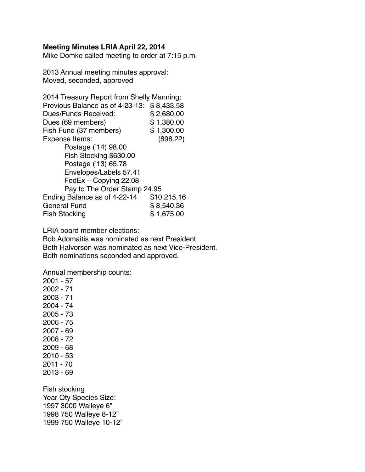## **Meeting Minutes LRIA April 22, 2014**

Mike Domke called meeting to order at 7:15 p.m.

2013 Annual meeting minutes approval: Moved, seconded, approved

| 2014 Treasury Report from Shelly Manning: |             |
|-------------------------------------------|-------------|
| Previous Balance as of 4-23-13:           | \$8,433.58  |
| Dues/Funds Received:                      | \$2,680.00  |
| Dues (69 members)                         | \$1,380.00  |
| Fish Fund (37 members)                    | \$1,300.00  |
| Expense Items:                            | (898.22)    |
| Postage ('14) 98.00                       |             |
| Fish Stocking \$630.00                    |             |
| Postage ('13) 65.78                       |             |
| Envelopes/Labels 57.41                    |             |
| FedEx - Copying 22.08                     |             |
| Pay to The Order Stamp 24.95              |             |
| Ending Balance as of 4-22-14              | \$10,215.16 |
| General Fund                              | \$8,540.36  |
| <b>Fish Stocking</b>                      | \$1,675.00  |

LRIA board member elections:

Bob Adomaitis was nominated as next President. Beth Halvorson was nominated as next Vice-President. Both nominations seconded and approved.

Annual membership counts:

Year Qty Species Size: 1997 3000 Walleye 6" 1998 750 Walleye 8-12" 1999 750 Walleye 10-12"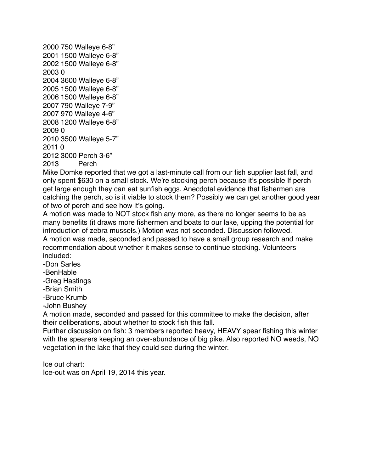2000 750 Walleye 6-8" 2001 1500 Walleye 6-8" 2002 1500 Walleye 6-8" 2003 0 2004 3600 Walleye 6-8" 2005 1500 Walleye 6-8" 2006 1500 Walleye 6-8" 2007 790 Walleye 7-9" 2007 970 Walleye 4-6" 2008 1200 Walleye 6-8" 2009 0 2010 3500 Walleye 5-7" 2011 0 2012 3000 Perch 3-6" 2013 Perch

Mike Domke reported that we got a last-minute call from our fish supplier last fall, and only spent \$630 on a small stock. We're stocking perch because it's possible If perch get large enough they can eat sunfish eggs. Anecdotal evidence that fishermen are catching the perch, so is it viable to stock them? Possibly we can get another good year of two of perch and see how it's going.

A motion was made to NOT stock fish any more, as there no longer seems to be as many benefits (it draws more fishermen and boats to our lake, upping the potential for introduction of zebra mussels.) Motion was not seconded. Discussion followed. A motion was made, seconded and passed to have a small group research and make recommendation about whether it makes sense to continue stocking. Volunteers included:

-Don Sarles

-BenHable

-Greg Hastings

-Brian Smith

-Bruce Krumb

-John Bushey

A motion made, seconded and passed for this committee to make the decision, after their deliberations, about whether to stock fish this fall.

Further discussion on fish: 3 members reported heavy, HEAVY spear fishing this winter with the spearers keeping an over-abundance of big pike. Also reported NO weeds, NO vegetation in the lake that they could see during the winter.

Ice out chart:

Ice-out was on April 19, 2014 this year.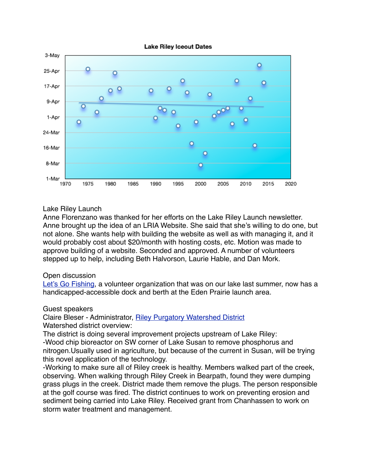

## Lake Riley Launch

Anne Florenzano was thanked for her efforts on the Lake Riley Launch newsletter. Anne brought up the idea of an LRIA Website. She said that she's willing to do one, but not alone. She wants help with building the website as well as with managing it, and it would probably cost about \$20/month with hosting costs, etc. Motion was made to approve building of a website. Seconded and approved. A number of volunteers stepped up to help, including Beth Halvorson, Laurie Hable, and Dan Mork.

## Open discussion

[Let's Go Fishing](http://lgfedenprairie.com/), a volunteer organization that was on our lake last summer, now has a handicapped-accessible dock and berth at the Eden Prairie launch area.

## Guest speakers

Claire Bleser - Administrator, [Riley Purgatory Watershed District](http://www.rpbcwd.org/) Watershed district overview:

The district is doing several improvement projects upstream of Lake Riley: -Wood chip bioreactor on SW corner of Lake Susan to remove phosphorus and nitrogen.Usually used in agriculture, but because of the current in Susan, will be trying this novel application of the technology.

-Working to make sure all of Riley creek is healthy. Members walked part of the creek, observing. When walking through Riley Creek in Bearpath, found they were dumping grass plugs in the creek. District made them remove the plugs. The person responsible at the golf course was fired. The district continues to work on preventing erosion and sediment being carried into Lake Riley. Received grant from Chanhassen to work on storm water treatment and management.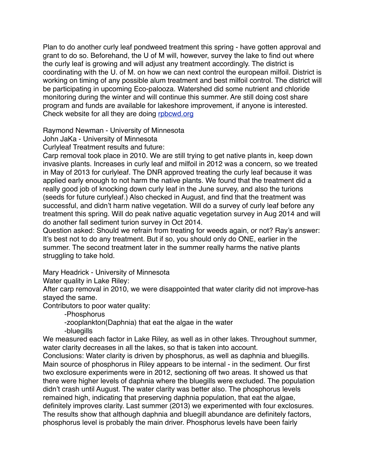Plan to do another curly leaf pondweed treatment this spring - have gotten approval and grant to do so. Beforehand, the U of M will, however, survey the lake to find out where the curly leaf is growing and will adjust any treatment accordingly. The district is coordinating with the U. of M. on how we can next control the european milfoil. District is working on timing of any possible alum treatment and best milfoil control. The district will be participating in upcoming Eco-palooza. Watershed did some nutrient and chloride monitoring during the winter and will continue this summer. Are still doing cost share program and funds are available for lakeshore improvement, if anyone is interested. Check website for all they are doing [rpbcwd.org](http://rpbcwd.org)

Raymond Newman - University of Minnesota

John JaKa - University of Minnesota

Curlyleaf Treatment results and future:

Carp removal took place in 2010. We are still trying to get native plants in, keep down invasive plants. Increases in curly leaf and milfoil in 2012 was a concern, so we treated in May of 2013 for curlyleaf. The DNR approved treating the curly leaf because it was applied early enough to not harm the native plants. We found that the treatment did a really good job of knocking down curly leaf in the June survey, and also the turions (seeds for future curlyleaf.) Also checked in August, and find that the treatment was successful, and didn't harm native vegetation. Will do a survey of curly leaf before any treatment this spring. Will do peak native aquatic vegetation survey in Aug 2014 and will do another fall sediment turion survey in Oct 2014.

Question asked: Should we refrain from treating for weeds again, or not? Ray's answer: It's best not to do any treatment. But if so, you should only do ONE, earlier in the summer. The second treatment later in the summer really harms the native plants struggling to take hold.

Mary Headrick - University of Minnesota

Water quality in Lake Riley:

After carp removal in 2010, we were disappointed that water clarity did not improve-has stayed the same.

Contributors to poor water quality:

-Phosphorus

-zooplankton(Daphnia) that eat the algae in the water

-bluegills

We measured each factor in Lake Riley, as well as in other lakes. Throughout summer, water clarity decreases in all the lakes, so that is taken into account.

Conclusions: Water clarity is driven by phosphorus, as well as daphnia and bluegills. Main source of phosphorus in Riley appears to be internal - in the sediment. Our first two exclosure experiments were in 2012, sectioning off two areas. It showed us that there were higher levels of daphnia where the bluegills were excluded. The population didn't crash until August. The water clarity was better also. The phosphorus levels remained high, indicating that preserving daphnia population, that eat the algae, definitely improves clarity. Last summer (2013) we experimented with four exclosures. The results show that although daphnia and bluegill abundance are definitely factors, phosphorus level is probably the main driver. Phosphorus levels have been fairly